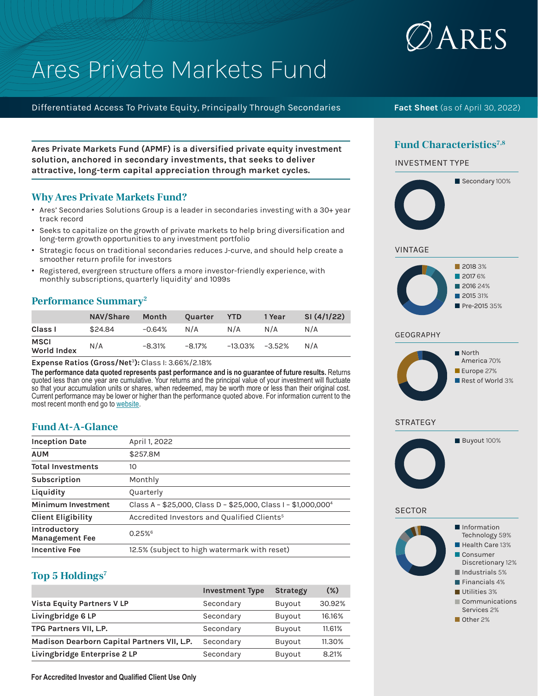

# Ares Private Markets Fund

Differentiated Access To Private Equity, Principally Through Secondaries

**Ares Private Markets Fund (APMF) is a diversified private equity investment solution, anchored in secondary investments, that seeks to deliver attractive, long-term capital appreciation through market cycles.**

## **Why Ares Private Markets Fund?**

- Ares' Secondaries Solutions Group is a leader in secondaries investing with a 30+ year track record
- Seeks to capitalize on the growth of private markets to help bring diversification and long-term growth opportunities to any investment portfolio
- Strategic focus on traditional secondaries reduces J-curve, and should help create a smoother return profile for investors
- Registered, evergreen structure offers a more investor-friendly experience, with monthly subscriptions, quarterly liquidity<sup>1</sup> and 1099s

## **Performance Summary2**

|                                   | <b>NAV/Share</b> | Month    | Quarter | <b>YTD</b> | 1 Year    | SI(4/1/22) |
|-----------------------------------|------------------|----------|---------|------------|-----------|------------|
| Class I                           | \$24.84          | $-0.64%$ | N/A     | N/A        | N/A       | N/A        |
| <b>MSCI</b><br><b>World Index</b> | N/A              | $-8.31%$ | -8.17%  | -13.03%    | $-3.52\%$ | N/A        |

**Expense Ratios (Gross/Net**<sup>3</sup>**):** Class I: 3.66%/2.18%

**The performance data quoted represents past performance and is no guarantee of future results.** Returns quoted less than one year are cumulative. Your returns and the principal value of your investment will fluctuate so that your accumulation units or shares, when redeemed, may be worth more or less than their original cost. Current performance may be lower or higher than the performance quoted above. For information current to the most recent month end go to website.

# **Fund At-A-Glance**

| <b>Inception Date</b>                 | April 1, 2022                                                              |
|---------------------------------------|----------------------------------------------------------------------------|
| <b>AUM</b>                            | \$257.8M                                                                   |
| <b>Total Investments</b>              | 10                                                                         |
| Subscription                          | Monthly                                                                    |
| Liquidity                             | Quarterly                                                                  |
| <b>Minimum Investment</b>             | Class A - \$25,000, Class D - \$25,000, Class I - \$1,000,000 <sup>4</sup> |
| <b>Client Eligibility</b>             | Accredited Investors and Qualified Clients <sup>5</sup>                    |
| Introductory<br><b>Management Fee</b> | 0.25%                                                                      |
| <b>Incentive Fee</b>                  | 12.5% (subject to high watermark with reset)                               |

# **Top 5 Holdings7**

|                                             | <b>Investment Type</b> | <b>Strategy</b> | $(\%)$ |
|---------------------------------------------|------------------------|-----------------|--------|
| <b>Vista Equity Partners V LP</b>           | Secondary              | Buyout          | 30.92% |
| Livingbridge 6 LP                           | Secondary              | Buyout          | 16.16% |
| TPG Partners VII, L.P.                      | Secondary              | Buyout          | 11.61% |
| Madison Dearborn Capital Partners VII, L.P. | Secondary              | Buyout          | 11.30% |
| Livingbridge Enterprise 2 LP                | Secondary              | Buyout          | 8.21%  |

**Fact Sheet** (as of April 30, 2022)

# Fund Characteristics<sup>7,8</sup>





- **Utilities 3%**
- Communications Services 2%
- Other 2%